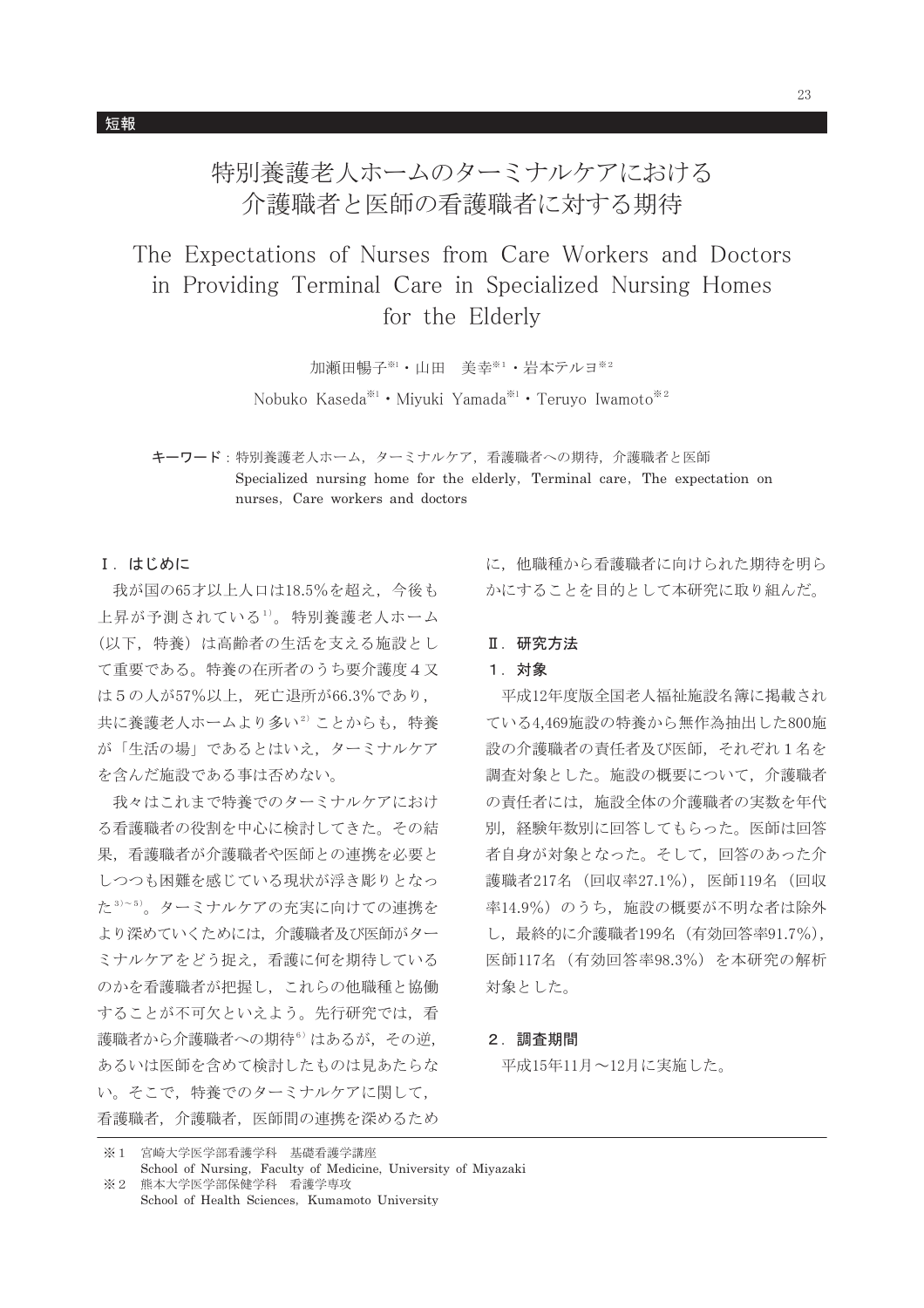特別養護老人ホームのターミナルケアにおける 介護職者と医師の看護職者に対する期待

The Expectations of Nurses from Care Workers and Doctors in Providing Terminal Care in Specialized Nursing Homes for the Elderly

加瀬田暢子※1·山田 美幸※1·岩本テルヨ※2

Nobuko Kaseda<sup>\*\*1</sup> · Miyuki Yamada<sup>\*\*1</sup> · Teruyo Iwamoto<sup>\*\*2</sup>

キーワード:特別養護老人ホーム、ターミナルケア、看護職者への期待、介護職者と医師 Specialized nursing home for the elderly, Terminal care, The expectation on nurses. Care workers and doctors

## I. はじめに

我が国の65才以上人口は18.5%を超え、今後も 上昇が予測されている1)。特別養護老人ホーム (以下、特養)は高齢者の生活を支える施設とし て重要である。特養の在所者のうち要介護度4又 は5の人が57%以上、死亡退所が66.3%であり, 共に養護老人ホームより多い2)ことからも、特養 が「生活の場」であるとはいえ、ターミナルケア を含んだ施設である事は否めない。

我々はこれまで特養でのターミナルケアにおけ る看護職者の役割を中心に検討してきた。その結 果、看護職者が介護職者や医師との連携を必要と しつつも困難を感じている現状が浮き彫りとなっ た3)~5)。ターミナルケアの充実に向けての連携を より深めていくためには、介護職者及び医師がター ミナルケアをどう捉え、看護に何を期待している のかを看護職者が把握し、これらの他職種と協働 することが不可欠といえよう。先行研究では、看 護職者から介護職者への期待6)はあるが、その逆, あるいは医師を含めて検討したものは見あたらな い。そこで、特養でのターミナルケアに関して、 看護職者、介護職者、医師間の連携を深めるため

に、他職種から看護職者に向けられた期待を明ら かにすることを目的として本研究に取り組んだ。

## Ⅱ. 研究方法

# 1. 対象

平成12年度版全国老人福祉施設名簿に掲載され ている4,469施設の特養から無作為抽出した800施 設の介護職者の責任者及び医師、それぞれ1名を 調査対象とした。施設の概要について、介護職者 の責任者には、施設全体の介護職者の実数を年代 別、経験年数別に回答してもらった。医師は回答 者自身が対象となった。そして、回答のあった介 護職者217名 (回収率27.1%), 医師119名 (回収 率14.9%)のうち、施設の概要が不明な者は除外 し、最終的に介護職者199名 (有効回答率91.7%), 医師117名 (有効回答率98.3%) を本研究の解析 対象とした。

### 2. 調査期間

平成15年11月~12月に実施した。

<sup>※1</sup> 宮崎大学医学部看護学科 基礎看護学講座

School of Nursing, Faculty of Medicine, University of Mivazaki  $\mathcal{X}2$ 熊本大学医学部保健学科 看護学専攻

School of Health Sciences, Kumamoto University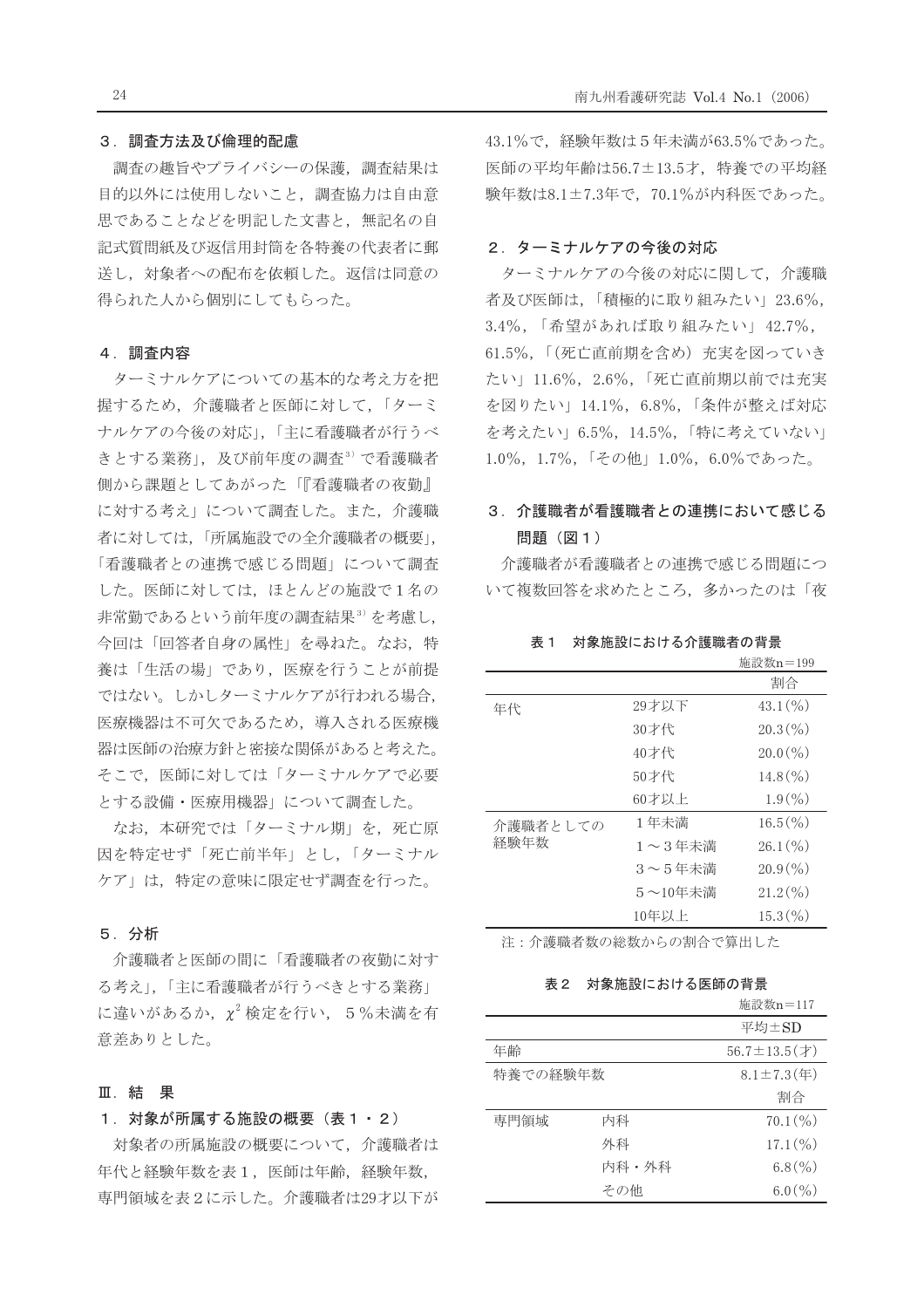#### 3. 調査方法及び倫理的配慮

調査の趣旨やプライバシーの保護、調査結果は 目的以外には使用しないこと、調査協力は自由意 思であることなどを明記した文書と、無記名の自 記式質問紙及び返信用封筒を各特養の代表者に郵 送し、対象者への配布を依頼した。返信は同意の 得られた人から個別にしてもらった。

### 4. 調査内容

ターミナルケアについての基本的な考え方を把 握するため、介護職者と医師に対して、「ターミ ナルケアの今後の対応」、「主に看護職者が行うべ きとする業務」,及び前年度の調査3)で看護職者 側から課題としてあがった「『看護職者の夜勤』 に対する考え」について調査した。また、介護職 者に対しては、「所属施設での全介護職者の概要」, 「看護職者との連携で感じる問題」について調査 した。医師に対しては、ほとんどの施設で1名の 非常勤であるという前年度の調査結果3)を考慮し, 今回は「回答者自身の属性」を尋ねた。なお、特 養は「生活の場」であり、医療を行うことが前提 ではない。しかしターミナルケアが行われる場合, 医療機器は不可欠であるため、導入される医療機 器は医師の治療方針と密接な関係があると考えた。 そこで、医師に対しては「ターミナルケアで必要 とする設備・医療用機器」について調査した。

なお、本研究では「ターミナル期」を、死亡原 因を特定せず「死亡前半年」とし、「ターミナル ケア」は、特定の意味に限定せず調査を行った。

### 5. 分析

介護職者と医師の間に「看護職者の夜勤に対す る考え」、「主に看護職者が行うべきとする業務」 に違いがあるか、 $\chi^2$ 検定を行い、5%未満を有 意差ありとした。

## Ⅲ. 結 果

## 1. 対象が所属する施設の概要 (表1・2)

対象者の所属施設の概要について、介護職者は 年代と経験年数を表1, 医師は年齢, 経験年数, 専門領域を表2に示した。介護職者は29才以下が 43.1%で、経験年数は5年未満が63.5%であった。 医師の平均年齢は56.7±13.5才、特養での平均経 験年数は8.1±7.3年で、70.1%が内科医であった。

### 2. ターミナルケアの今後の対応

ターミナルケアの今後の対応に関して、介護職 者及び医師は、「積極的に取り組みたい」23.6%, 3.4%, 「希望があれば取り組みたい」42.7%, 61.5%,「(死亡直前期を含め)充実を図っていき たい」11.6%, 2.6%,「死亡直前期以前では充実 を図りたい」14.1%, 6.8%,「条件が整えば対応 を考えたい」6.5%, 14.5%,「特に考えていない」 1.0%, 1.7%, 「その他」1.0%, 6.0%であった。

# 3. 介護職者が看護職者との連携において感じる 問題 (図1)

介護職者が看護職者との連携で感じる問題につ いて複数回答を求めたところ、多かったのは「夜

表1 対象施設における介護職者の背景

|                  |                 | 施設叙n=199           |
|------------------|-----------------|--------------------|
|                  |                 | 割合                 |
| 年代               | 29才以下           | $43.1\binom{0}{0}$ |
|                  | 30才代            | $20.3\binom{0}{0}$ |
|                  | 40才代            | $20.0\binom{0}{0}$ |
|                  | 50才代            | $14.8\binom{0}{0}$ |
|                  | 60才以上           | $1.9\binom{0}{0}$  |
| 介護職者としての<br>経験年数 | 1年未満            | $16.5\binom{0}{0}$ |
|                  | $1 \sim 3$ 年未満  | $26.1\binom{0}{0}$ |
|                  | $3 \sim 5$ 年未満  | $20.9\binom{0}{0}$ |
|                  | $5 \sim 10$ 年未満 | $21.2\binom{0}{0}$ |
|                  | 10年以上           | $15.3\,(%)$        |
|                  |                 |                    |

注: 介護職者数の総数からの割合で算出した

表2 対象施設における医師の背景

|          |       | 施設数n=117                |
|----------|-------|-------------------------|
|          |       | 平均±SD                   |
| 年齢       |       | $56.7 \pm 13.5 (\pm 1)$ |
| 特養での経験年数 |       | $8.1 \pm 7.3$ (年)       |
|          |       | 割合                      |
| 専門領域     | 内科    | $70.1\binom{0}{0}$      |
|          | 外科    | $17.1\binom{0}{0}$      |
|          | 内科・外科 | $6.8\binom{0}{0}$       |
|          | その他   | $6.0\binom{0}{0}$       |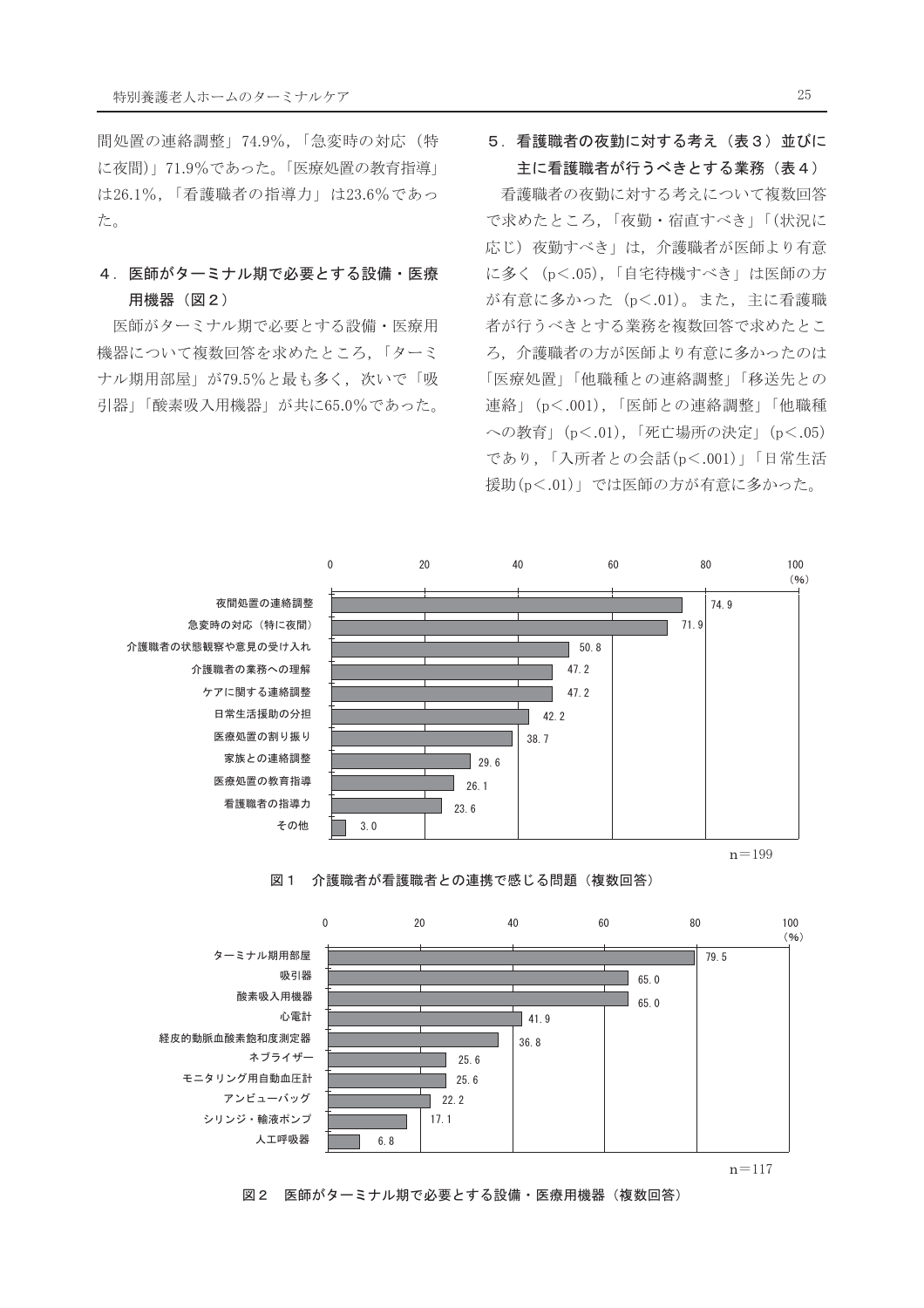間処置の連絡調整」74.9%,「急変時の対応(特 に夜間)」71.9%であった。「医療処置の教育指導」 は26.1%,「看護職者の指導力」は23.6%であっ た。

# 4. 医師がターミナル期で必要とする設備・医療 用機器 (図2)

医師がターミナル期で必要とする設備・医療用 機器について複数回答を求めたところ、「ターミ ナル期用部屋」が79.5%と最も多く、次いで「吸 引器」「酸素吸入用機器」が共に65.0%であった。

# 5. 看護職者の夜勤に対する考え(表3)並びに 主に看護職者が行うべきとする業務 (表4)

看護職者の夜勤に対する考えについて複数回答 で求めたところ,「夜勤・宿直すべき」「(状況に 応じ) 夜勤すべき」は、介護職者が医師より有意 に多く (p<.05), 「自宅待機すべき」は医師の方 が有意に多かった (p<.01)。また、主に看護職 者が行うべきとする業務を複数回答で求めたとこ ろ、介護職者の方が医師より有意に多かったのは 「医療処置」「他職種との連絡調整」「移送先との 連絡」(p<.001),「医師との連絡調整」「他職種 への教育」(p<.01),「死亡場所の決定」(p<.05) であり,「入所者との会話(p<.001)」「日常生活 援助(p<.01)」では医師の方が有意に多かった。



#### 図1 介護職者が看護職者との連携で感じる問題(複数回答)



図2 医師がターミナル期で必要とする設備・医療用機器(複数回答)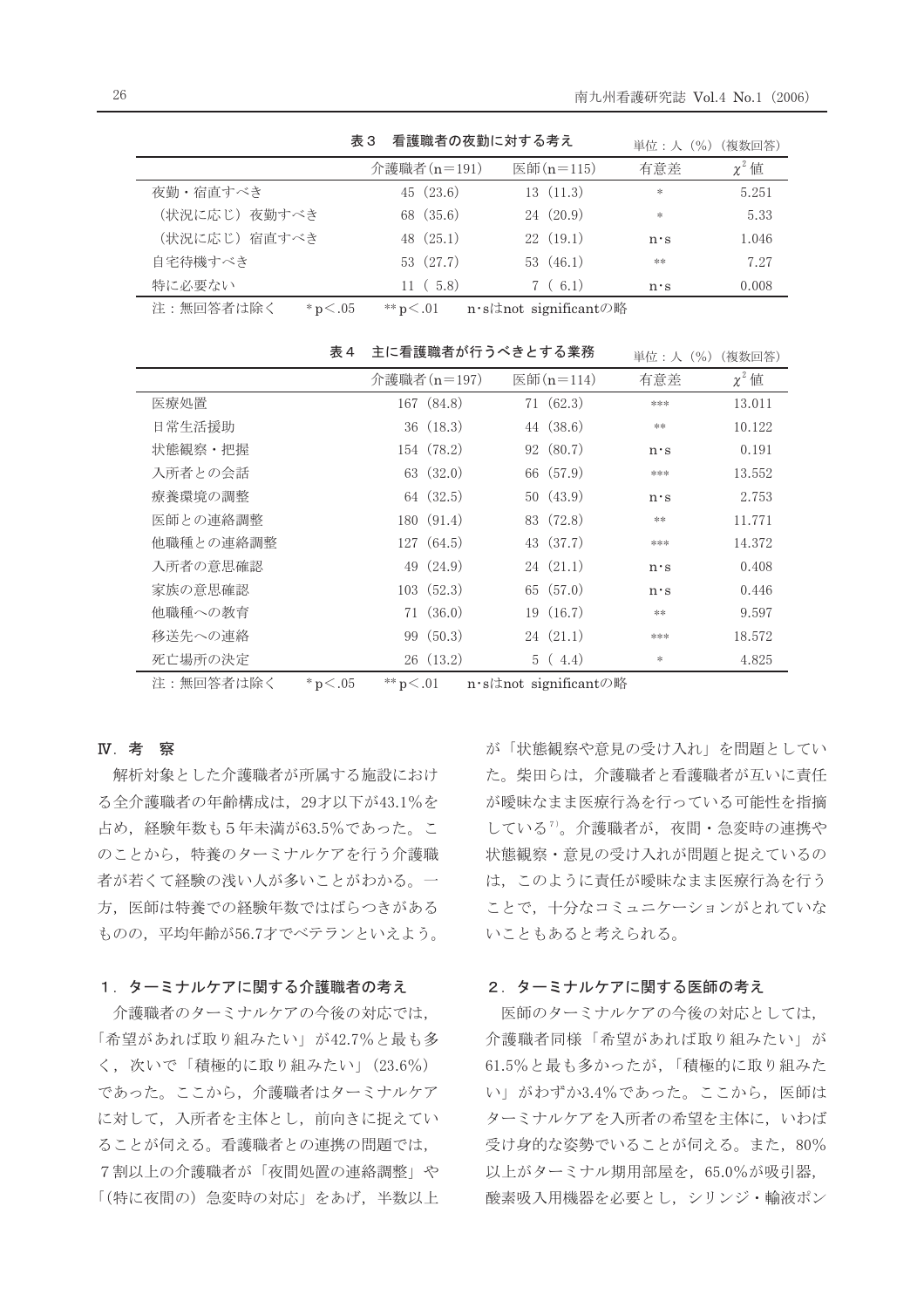|               | 看護職者の夜勤に対する考え<br>表 3 | 単位:人 (%) (複数回答) |             |            |
|---------------|----------------------|-----------------|-------------|------------|
|               | 介護職者 (n=191)         | 医師(n=115)       | 有意差         | $\chi^2$ 值 |
| 夜勤・宿直すべき      | 45(23.6)             | 13(11.3)        | $\ast$      | 5.251      |
| (状況に応じ) 夜勤すべき | 68 (35.6)            | 24(20.9)        | $*$         | 5.33       |
| (状況に応じ) 宿直すべき | 48(25.1)             | 22(19.1)        | $n \cdot s$ | 1.046      |
| 自宅待機すべき       | 53 (27.7)            | 53 $(46.1)$     | **          | 7.27       |
| 特に必要ない        | 11(5.8)              | 7(6.1)          | $n \cdot s$ | 0.008      |
|               |                      |                 |             |            |

 $*$   $p < .01$ 注:無回答者は除く  $*{\rm p} < .05$ n·sはnot significantの略

|           | 表 4 | 主に看護職者が行うべきとする業務 |             |  |           | 単位 : 人(%)   | (複数回答)     |
|-----------|-----|------------------|-------------|--|-----------|-------------|------------|
|           |     | 介護職者 (n=197)     |             |  | 医師(n=114) | 有意差         | $\chi^2$ 値 |
| 医療処置      |     |                  | 167 (84.8)  |  | 71(62.3)  | ***         | 13.011     |
| 日常生活援助    |     |                  | 36(18.3)    |  | 44 (38.6) | **          | 10.122     |
| 状態観察・把握   |     |                  | 154 (78.2)  |  | 92 (80.7) | $n \cdot s$ | 0.191      |
| 入所者との会話   |     |                  | 63 (32.0)   |  | 66 (57.9) | ***         | 13.552     |
| 療養環境の調整   |     |                  | 64 (32.5)   |  | 50(43.9)  | $n \cdot s$ | 2.753      |
| 医師との連絡調整  |     |                  | 180(91.4)   |  | 83 (72.8) | **          | 11.771     |
| 他職種との連絡調整 |     |                  | 127(64.5)   |  | 43 (37.7) | ***         | 14.372     |
| 入所者の意思確認  |     |                  | 49 $(24.9)$ |  | 24(21.1)  | $n \cdot s$ | 0.408      |
| 家族の意思確認   |     |                  | 103(52.3)   |  | 65(57.0)  | $n \cdot s$ | 0.446      |
| 他職種への教育   |     |                  | 71(36.0)    |  | 19(16.7)  | **          | 9.597      |
| 移送先への連絡   |     |                  | 99 (50.3)   |  | 24(21.1)  | ***         | 18.572     |
| 死亡場所の決定   |     |                  | 26(13.2)    |  | 5(4.4)    | $\ast$      | 4.825      |

注:無回答者は除く \*p<.05 \*\*p<.01 n·sはnot significantの略

# **N**. 考察

解析対象とした介護職者が所属する施設におけ る全介護職者の年齢構成は、29才以下が43.1%を 占め、経験年数も5年未満が63.5%であった。こ のことから、特養のターミナルケアを行う介護職 者が若くて経験の浅い人が多いことがわかる。一 方、医師は特養での経験年数ではばらつきがある ものの、平均年齢が56.7才でベテランといえよう。

### 1. ターミナルケアに関する介護職者の考え

介護職者のターミナルケアの今後の対応では, 「希望があれば取り組みたい」が42.7%と最も多 く、次いで「積極的に取り組みたい」(23.6%) であった。ここから、介護職者はターミナルケア に対して、入所者を主体とし、前向きに捉えてい ることが伺える。看護職者との連携の問題では, 7割以上の介護職者が「夜間処置の連絡調整」や 「(特に夜間の)急変時の対応」をあげ、半数以上 が「状態観察や意見の受け入れ」を問題としてい た。柴田らは、介護職者と看護職者が互いに責任 が曖昧なまま医療行為を行っている可能性を指摘 している<sup>7</sup>。介護職者が、夜間·急変時の連携や 状態観察・意見の受け入れが問題と捉えているの は、このように責任が曖昧なまま医療行為を行う ことで、十分なコミュニケーションがとれていな いこともあると考えられる。

## 2. ターミナルケアに関する医師の考え

医師のターミナルケアの今後の対応としては, 介護職者同様「希望があれば取り組みたい」が 61.5%と最も多かったが、「積極的に取り組みた い」がわずか3.4%であった。ここから、医師は ターミナルケアを入所者の希望を主体に、いわば 受け身的な姿勢でいることが伺える。また、80% 以上がターミナル期用部屋を、65.0%が吸引器, 酸素吸入用機器を必要とし、シリンジ・輸液ポン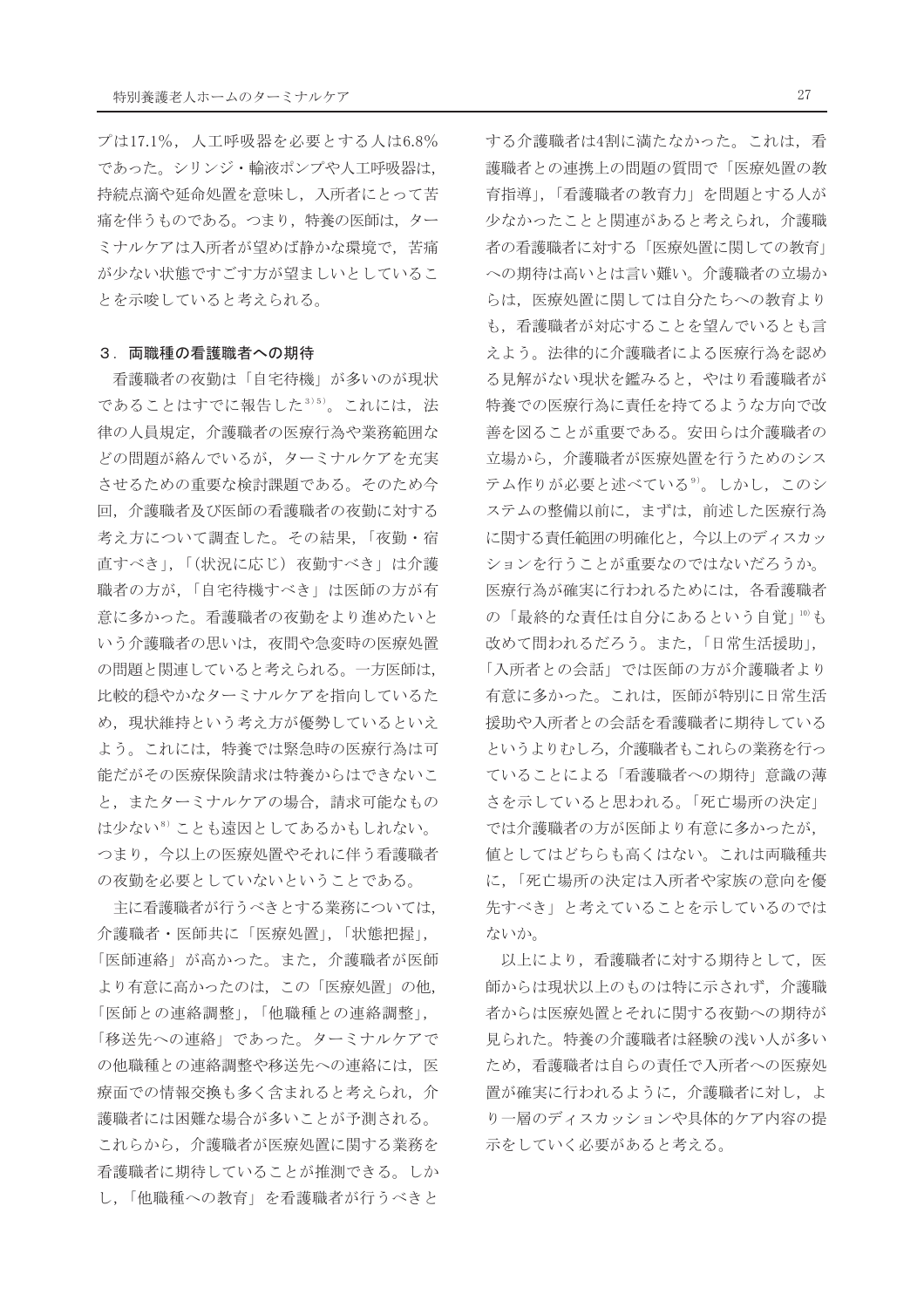プは17.1%, 人工呼吸器を必要とする人は6.8% であった。シリンジ・輸液ポンプや人工呼吸器は, 持続点滴や延命処置を意味し、入所者にとって苦 痛を伴うものである。つまり、特養の医師は、ター ミナルケアは入所者が望めば静かな環境で、苦痛 が少ない状態ですごす方が望ましいとしているこ とを示唆していると考えられる。

### 3. 両職種の看護職者への期待

看護職者の夜勤は「自宅待機」が多いのが現状 であることはすでに報告した3)5)。これには、法 律の人員規定、介護職者の医療行為や業務範囲な どの問題が絡んでいるが、ターミナルケアを充実 させるための重要な検討課題である。そのため今 回、介護職者及び医師の看護職者の夜勤に対する 考え方について調査した。その結果,「夜勤・宿 直すべき」,「(状況に応じ) 夜勤すべき」は介護 職者の方が、「自宅待機すべき」は医師の方が有 意に多かった。看護職者の夜勤をより進めたいと いう介護職者の思いは、夜間や急変時の医療処置 の問題と関連していると考えられる。一方医師は, 比較的穏やかなターミナルケアを指向しているた め、現状維持という考え方が優勢しているといえ よう。これには、特養では緊急時の医療行為は可 能だがその医療保険請求は特養からはできないこ と、またターミナルケアの場合、請求可能なもの は少ない<sup>8)</sup>ことも遠因としてあるかもしれない。 つまり、今以上の医療処置やそれに伴う看護職者 の夜勤を必要としていないということである。

主に看護職者が行うべきとする業務については, 介護職者·医師共に「医療処置」,「状態把握」, 「医師連絡」が高かった。また、介護職者が医師 より有意に高かったのは、この「医療処置」の他, 「医師との連絡調整」,「他職種との連絡調整」, 「移送先への連絡」であった。ターミナルケアで の他職種との連絡調整や移送先への連絡には、医 療面での情報交換も多く含まれると考えられ、介 護職者には困難な場合が多いことが予測される。 これらから、介護職者が医療処置に関する業務を 看護職者に期待していることが推測できる。しか し、「他職種への教育」を看護職者が行うべきと

する介護職者は4割に満たなかった。これは、看 護職者との連携上の問題の質問で「医療処置の教 育指導」,「看護職者の教育力」を問題とする人が 少なかったことと関連があると考えられ、介護職 者の看護職者に対する「医療処置に関しての教育」 への期待は高いとは言い難い。介護職者の立場か らは、医療処置に関しては自分たちへの教育より も、看護職者が対応することを望んでいるとも言 えよう。法律的に介護職者による医療行為を認め る見解がない現状を鑑みると、やはり看護職者が 特養での医療行為に責任を持てるような方向で改 善を図ることが重要である。安田らは介護職者の 立場から、介護職者が医療処置を行うためのシス テム作りが必要と述べている<sup>9)</sup>。しかし、このシ ステムの整備以前に、まずは、前述した医療行為 に関する責任範囲の明確化と、今以上のディスカッ ションを行うことが重要なのではないだろうか。 医療行為が確実に行われるためには、各看護職者 の「最終的な責任は自分にあるという自覚」10も 改めて問われるだろう。また、「日常生活援助」, 「入所者との会話」では医師の方が介護職者より 有意に多かった。これは、医師が特別に日常生活 援助や入所者との会話を看護職者に期待している というよりむしろ、介護職者もこれらの業務を行っ ていることによる「看護職者への期待」意識の薄 さを示していると思われる。「死亡場所の決定」 では介護職者の方が医師より有意に多かったが. 値としてはどちらも高くはない。これは両職種共 に、「死亡場所の決定は入所者や家族の意向を優 先すべき」と考えていることを示しているのでは ないか。

以上により、看護職者に対する期待として、医 師からは現状以上のものは特に示されず、介護職 者からは医療処置とそれに関する夜勤への期待が 見られた。特養の介護職者は経験の浅い人が多い ため、看護職者は自らの責任で入所者への医療処 置が確実に行われるように、介護職者に対し、よ り一層のディスカッションや具体的ケア内容の提 示をしていく必要があると考える。